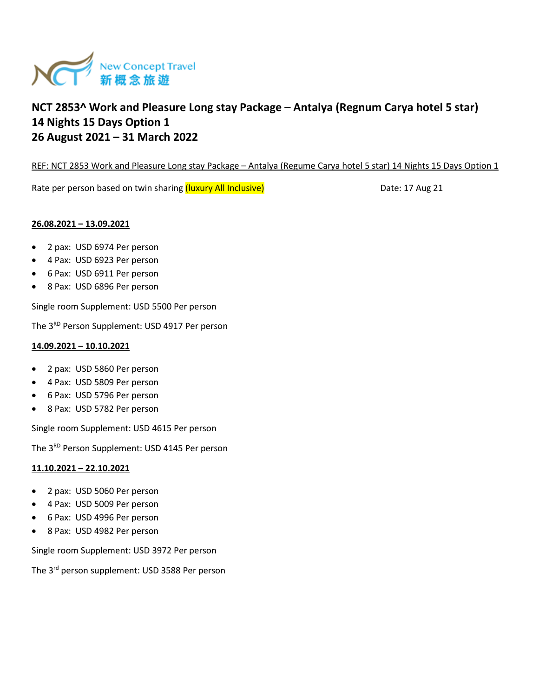

REF: NCT 2853 Work and Pleasure Long stay Package - Antalya (Regume Carya hotel 5 star) 14 Nights 15 Days Option 1

Rate per person based on twin sharing (luxury All Inclusive) **Date: 17 Aug 21** Date: 17 Aug 21

## **26.08.2021 – 13.09.2021**

- 2 pax: USD 6974 Per person
- 4 Pax: USD 6923 Per person
- 6 Pax: USD 6911 Per person
- 8 Pax: USD 6896 Per person

Single room Supplement: USD 5500 Per person

The 3<sup>RD</sup> Person Supplement: USD 4917 Per person

## **14.09.2021 – 10.10.2021**

- 2 pax: USD 5860 Per person
- 4 Pax: USD 5809 Per person
- 6 Pax: USD 5796 Per person
- 8 Pax: USD 5782 Per person

Single room Supplement: USD 4615 Per person

The 3<sup>RD</sup> Person Supplement: USD 4145 Per person

## **11.10.2021 – 22.10.2021**

- 2 pax: USD 5060 Per person
- 4 Pax: USD 5009 Per person
- 6 Pax: USD 4996 Per person
- 8 Pax: USD 4982 Per person

Single room Supplement: USD 3972 Per person

The 3rd person supplement: USD 3588 Per person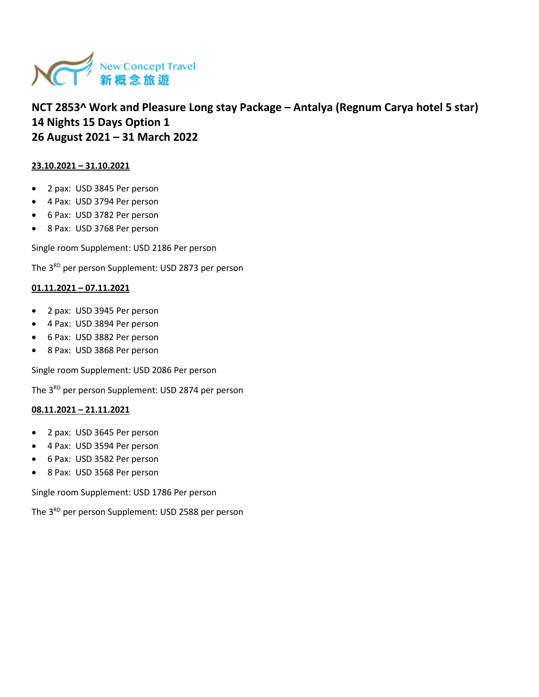

## **23.10.2021 – 31.10.2021**

- 2 pax: USD 3845 Per person
- 4 Pax: USD 3794 Per person
- 6 Pax: USD 3782 Per person
- 8 Pax: USD 3768 Per person

Single room Supplement: USD 2186 Per person

The 3<sup>RD</sup> per person Supplement: USD 2873 per person

## **01.11.2021 – 07.11.2021**

- 2 pax: USD 3945 Per person
- 4 Pax: USD 3894 Per person
- 6 Pax: USD 3882 Per person
- 8 Pax: USD 3868 Per person

Single room Supplement: USD 2086 Per person

The 3<sup>RD</sup> per person Supplement: USD 2874 per person

#### **08.11.2021 – 21.11.2021**

- 2 pax: USD 3645 Per person
- 4 Pax: USD 3594 Per person
- 6 Pax: USD 3582 Per person
- 8 Pax: USD 3568 Per person

Single room Supplement: USD 1786 Per person

The 3<sup>RD</sup> per person Supplement: USD 2588 per person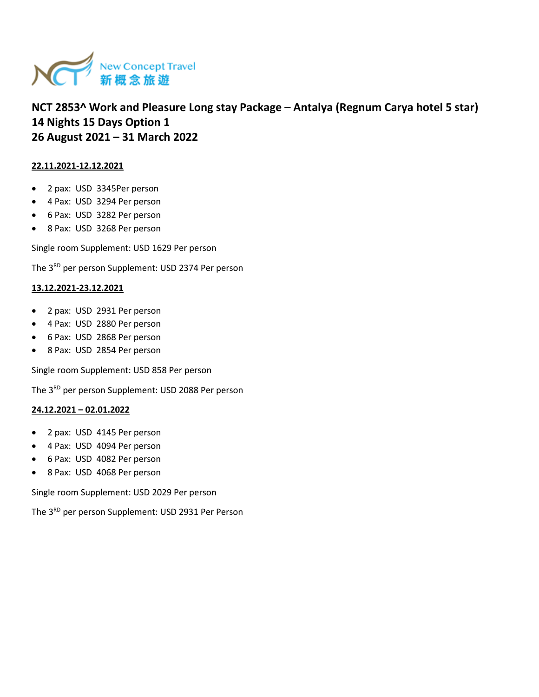

## **22.11.2021-12.12.2021**

- 2 pax: USD 3345Per person
- 4 Pax: USD 3294 Per person
- 6 Pax: USD 3282 Per person
- 8 Pax: USD 3268 Per person

Single room Supplement: USD 1629 Per person

The 3<sup>RD</sup> per person Supplement: USD 2374 Per person

#### **13.12.2021-23.12.2021**

- 2 pax: USD 2931 Per person
- 4 Pax: USD 2880 Per person
- 6 Pax: USD 2868 Per person
- 8 Pax: USD 2854 Per person

Single room Supplement: USD 858 Per person

The 3<sup>RD</sup> per person Supplement: USD 2088 Per person

## **24.12.2021 – 02.01.2022**

- 2 pax: USD 4145 Per person
- 4 Pax: USD 4094 Per person
- 6 Pax: USD 4082 Per person
- 8 Pax: USD 4068 Per person

Single room Supplement: USD 2029 Per person

The 3<sup>RD</sup> per person Supplement: USD 2931 Per Person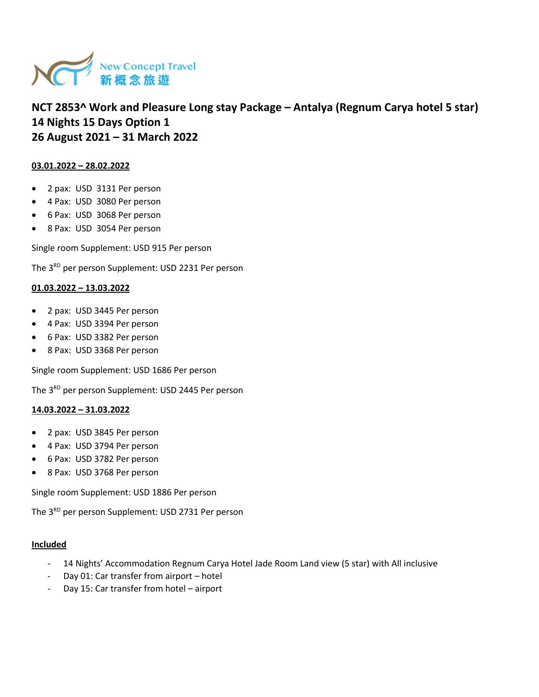

## **03.01.2022 – 28.02.2022**

- 2 pax: USD 3131 Per person
- 4 Pax: USD 3080 Per person
- 6 Pax: USD 3068 Per person
- 8 Pax: USD 3054 Per person

Single room Supplement: USD 915 Per person

The 3<sup>RD</sup> per person Supplement: USD 2231 Per person

#### **01.03.2022 – 13.03.2022**

- 2 pax: USD 3445 Per person
- 4 Pax: USD 3394 Per person
- 6 Pax: USD 3382 Per person
- 8 Pax: USD 3368 Per person

Single room Supplement: USD 1686 Per person

The 3<sup>RD</sup> per person Supplement: USD 2445 Per person

#### **14.03.2022 – 31.03.2022**

- 2 pax: USD 3845 Per person
- 4 Pax: USD 3794 Per person
- 6 Pax: USD 3782 Per person
- 8 Pax: USD 3768 Per person

Single room Supplement: USD 1886 Per person

The 3<sup>RD</sup> per person Supplement: USD 2731 Per person

#### **Included**

- 14 Nights' Accommodation Regnum Carya Hotel Jade Room Land view (5 star) with All inclusive
- Day 01: Car transfer from airport hotel
- Day 15: Car transfer from hotel airport